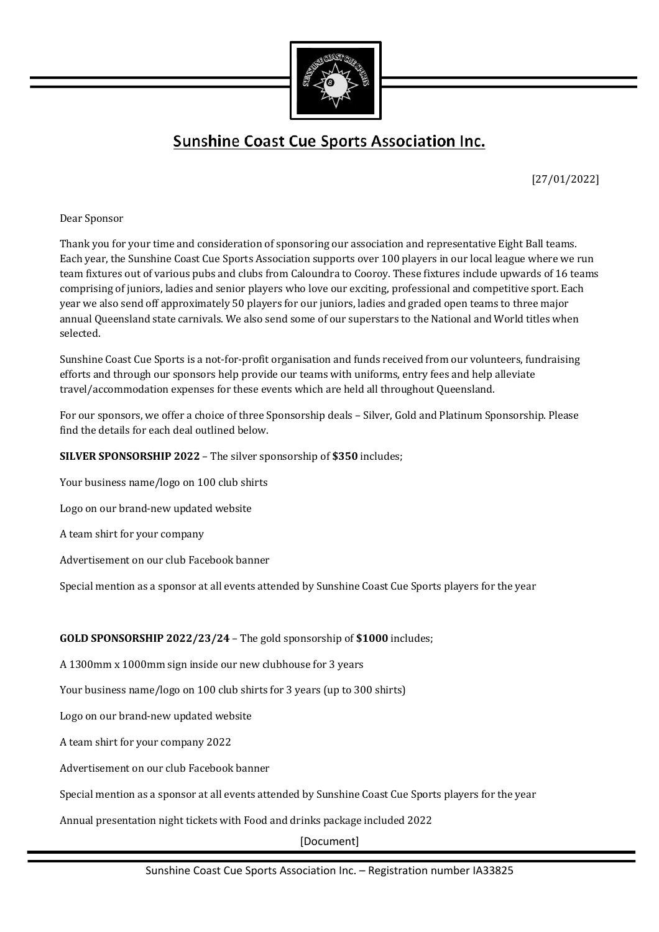

## **Sunshine Coast Cue Sports Association Inc.**

[27/01/2022]

## Dear Sponsor

Thank you for your time and consideration of sponsoring our association and representative Eight Ball teams. Each year, the Sunshine Coast Cue Sports Association supports over 100 players in our local league where we run team fixtures out of various pubs and clubs from Caloundra to Cooroy. These fixtures include upwards of 16 teams comprising of juniors, ladies and senior players who love our exciting, professional and competitive sport. Each year we also send off approximately 50 players for our juniors, ladies and graded open teams to three major annual Queensland state carnivals. We also send some of our superstars to the National and World titles when selected.

Sunshine Coast Cue Sports is a not-for-profit organisation and funds received from our volunteers, fundraising efforts and through our sponsors help provide our teams with uniforms, entry fees and help alleviate travel/accommodation expenses for these events which are held all throughout Queensland.

For our sponsors, we offer a choice of three Sponsorship deals – Silver, Gold and Platinum Sponsorship. Please find the details for each deal outlined below.

**SILVER SPONSORSHIP 2022** – The silver sponsorship of \$350 includes;

Your business name/logo on 100 club shirts

Logo on our brand-new updated website

A team shirt for your company

Advertisement on our club Facebook banner

Special mention as a sponsor at all events attended by Sunshine Coast Cue Sports players for the year

## **GOLD SPONSORSHIP 2022/23/24** – The gold sponsorship of \$1000 includes;

A 1300mm x 1000mm sign inside our new clubhouse for 3 years

Your business name/logo on 100 club shirts for 3 years (up to 300 shirts)

Logo on our brand-new updated website

A team shirt for your company 2022

Advertisement on our club Facebook banner

Special mention as a sponsor at all events attended by Sunshine Coast Cue Sports players for the year

Annual presentation night tickets with Food and drinks package included 2022

[Document]